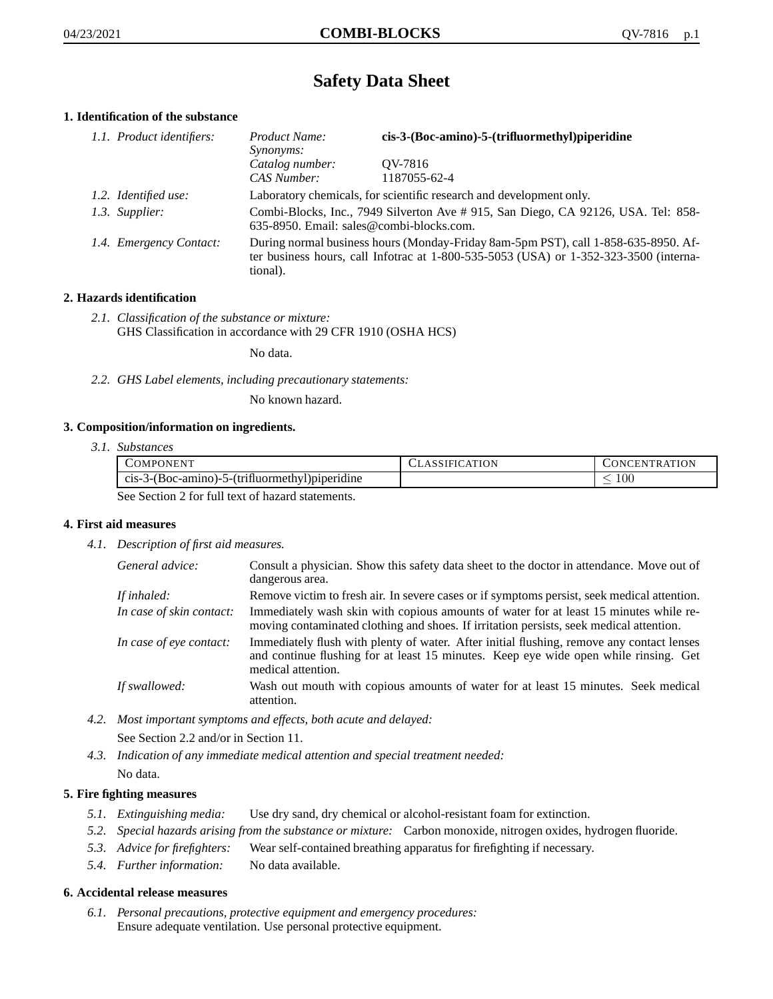# **Safety Data Sheet**

## **1. Identification of the substance**

| 1.1. Product identifiers: | Product Name:<br>Synonyms:                                                                                                                                                              | cis-3-(Boc-amino)-5-(trifluormethyl)piperidine |
|---------------------------|-----------------------------------------------------------------------------------------------------------------------------------------------------------------------------------------|------------------------------------------------|
|                           | Catalog number:<br>CAS Number:                                                                                                                                                          | OV-7816<br>1187055-62-4                        |
| 1.2. Identified use:      | Laboratory chemicals, for scientific research and development only.                                                                                                                     |                                                |
| 1.3. Supplier:            | Combi-Blocks, Inc., 7949 Silverton Ave # 915, San Diego, CA 92126, USA. Tel: 858-<br>635-8950. Email: sales@combi-blocks.com.                                                           |                                                |
| 1.4. Emergency Contact:   | During normal business hours (Monday-Friday 8am-5pm PST), call 1-858-635-8950. Af-<br>ter business hours, call Infotrac at 1-800-535-5053 (USA) or 1-352-323-3500 (interna-<br>tional). |                                                |

## **2. Hazards identification**

*2.1. Classification of the substance or mixture:* GHS Classification in accordance with 29 CFR 1910 (OSHA HCS)

No data.

*2.2. GHS Label elements, including precautionary statements:*

No known hazard.

#### **3. Composition/information on ingredients.**

*3.1. Substances*

| COMPONENT                                        | <b>CLASSIFICATION</b> | CONCENTRATION |
|--------------------------------------------------|-----------------------|---------------|
| $cis-3-(Boc-amino)-5-(trifluormethyl)piperidine$ |                       | .00           |
| See Section 2 for full text of hazard statements |                       |               |

See Section 2 for full text of hazard statements.

#### **4. First aid measures**

*4.1. Description of first aid measures.*

| General advice:          | Consult a physician. Show this safety data sheet to the doctor in attendance. Move out of<br>dangerous area.                                                                                            |
|--------------------------|---------------------------------------------------------------------------------------------------------------------------------------------------------------------------------------------------------|
| If inhaled:              | Remove victim to fresh air. In severe cases or if symptoms persist, seek medical attention.                                                                                                             |
| In case of skin contact: | Immediately wash skin with copious amounts of water for at least 15 minutes while re-<br>moving contaminated clothing and shoes. If irritation persists, seek medical attention.                        |
| In case of eye contact:  | Immediately flush with plenty of water. After initial flushing, remove any contact lenses<br>and continue flushing for at least 15 minutes. Keep eye wide open while rinsing. Get<br>medical attention. |
| If swallowed:            | Wash out mouth with copious amounts of water for at least 15 minutes. Seek medical<br>attention.                                                                                                        |

*4.2. Most important symptoms and effects, both acute and delayed:*

See Section 2.2 and/or in Section 11.

*4.3. Indication of any immediate medical attention and special treatment needed:* No data.

### **5. Fire fighting measures**

- *5.1. Extinguishing media:* Use dry sand, dry chemical or alcohol-resistant foam for extinction.
- *5.2. Special hazards arising from the substance or mixture:* Carbon monoxide, nitrogen oxides, hydrogen fluoride.
- *5.3. Advice for firefighters:* Wear self-contained breathing apparatus for firefighting if necessary.
- *5.4. Further information:* No data available.

#### **6. Accidental release measures**

*6.1. Personal precautions, protective equipment and emergency procedures:* Ensure adequate ventilation. Use personal protective equipment.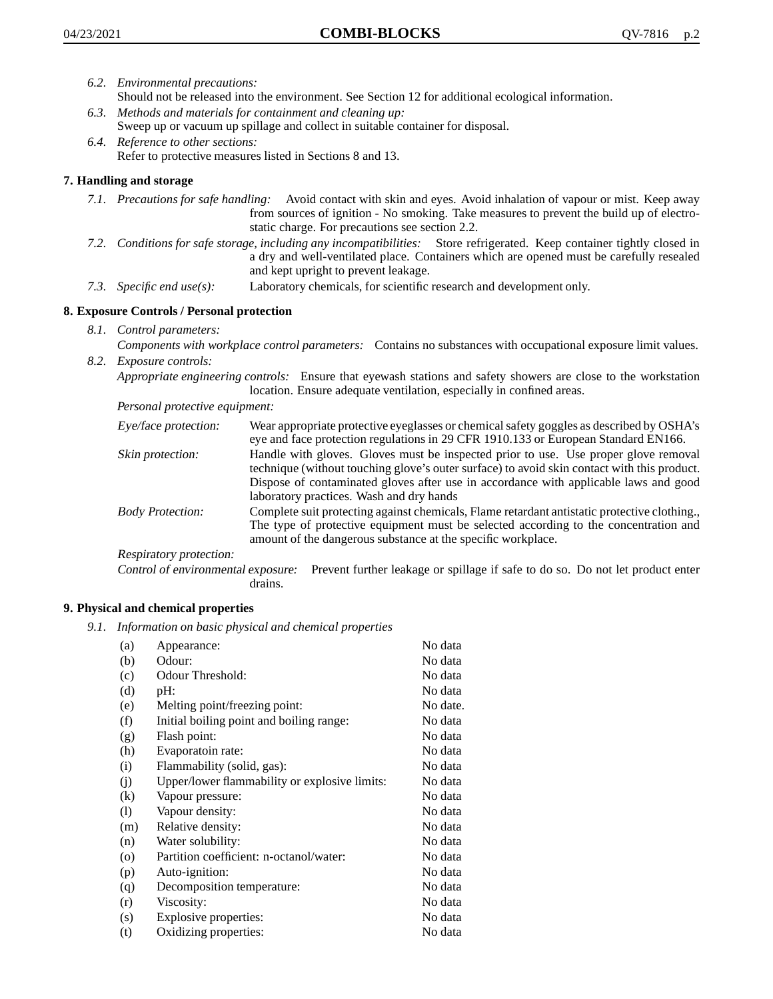- *6.2. Environmental precautions:*
	- Should not be released into the environment. See Section 12 for additional ecological information.
- *6.3. Methods and materials for containment and cleaning up:* Sweep up or vacuum up spillage and collect in suitable container for disposal.
- *6.4. Reference to other sections:* Refer to protective measures listed in Sections 8 and 13.

## **7. Handling and storage**

- *7.1. Precautions for safe handling:* Avoid contact with skin and eyes. Avoid inhalation of vapour or mist. Keep away from sources of ignition - No smoking. Take measures to prevent the build up of electrostatic charge. For precautions see section 2.2.
- *7.2. Conditions for safe storage, including any incompatibilities:* Store refrigerated. Keep container tightly closed in a dry and well-ventilated place. Containers which are opened must be carefully resealed and kept upright to prevent leakage.
- *7.3. Specific end use(s):* Laboratory chemicals, for scientific research and development only.

## **8. Exposure Controls / Personal protection**

*8.1. Control parameters:*

*Components with workplace control parameters:* Contains no substances with occupational exposure limit values. *8.2. Exposure controls:*

*Appropriate engineering controls:* Ensure that eyewash stations and safety showers are close to the workstation location. Ensure adequate ventilation, especially in confined areas.

*Personal protective equipment:*

| Eye/face protection:    | Wear appropriate protective eyeglasses or chemical safety goggles as described by OSHA's<br>eye and face protection regulations in 29 CFR 1910.133 or European Standard EN166.                                                                                                                                         |
|-------------------------|------------------------------------------------------------------------------------------------------------------------------------------------------------------------------------------------------------------------------------------------------------------------------------------------------------------------|
| Skin protection:        | Handle with gloves. Gloves must be inspected prior to use. Use proper glove removal<br>technique (without touching glove's outer surface) to avoid skin contact with this product.<br>Dispose of contaminated gloves after use in accordance with applicable laws and good<br>laboratory practices. Wash and dry hands |
| <b>Body Protection:</b> | Complete suit protecting against chemicals, Flame retardant antistatic protective clothing.,<br>The type of protective equipment must be selected according to the concentration and<br>amount of the dangerous substance at the specific workplace.                                                                   |
| Respiratory protection: |                                                                                                                                                                                                                                                                                                                        |

Control of environmental exposure: Prevent further leakage or spillage if safe to do so. Do not let product enter drains.

#### **9. Physical and chemical properties**

*9.1. Information on basic physical and chemical properties*

| (a)                          | Appearance:                                   | No data  |
|------------------------------|-----------------------------------------------|----------|
| (b)                          | Odour:                                        | No data  |
| (c)                          | Odour Threshold:                              | No data  |
| (d)                          | pH:                                           | No data  |
| (e)                          | Melting point/freezing point:                 | No date. |
| (f)                          | Initial boiling point and boiling range:      | No data  |
| (g)                          | Flash point:                                  | No data  |
| (h)                          | Evaporatoin rate:                             | No data  |
| (i)                          | Flammability (solid, gas):                    | No data  |
| (j)                          | Upper/lower flammability or explosive limits: | No data  |
| $\rm(k)$                     | Vapour pressure:                              | No data  |
| $\left( \frac{1}{2} \right)$ | Vapour density:                               | No data  |
| (m)                          | Relative density:                             | No data  |
| (n)                          | Water solubility:                             | No data  |
| $\circ$                      | Partition coefficient: n-octanol/water:       | No data  |
| (p)                          | Auto-ignition:                                | No data  |
| (q)                          | Decomposition temperature:                    | No data  |
| (r)                          | Viscosity:                                    | No data  |
| (s)                          | Explosive properties:                         | No data  |
| (t)                          | Oxidizing properties:                         | No data  |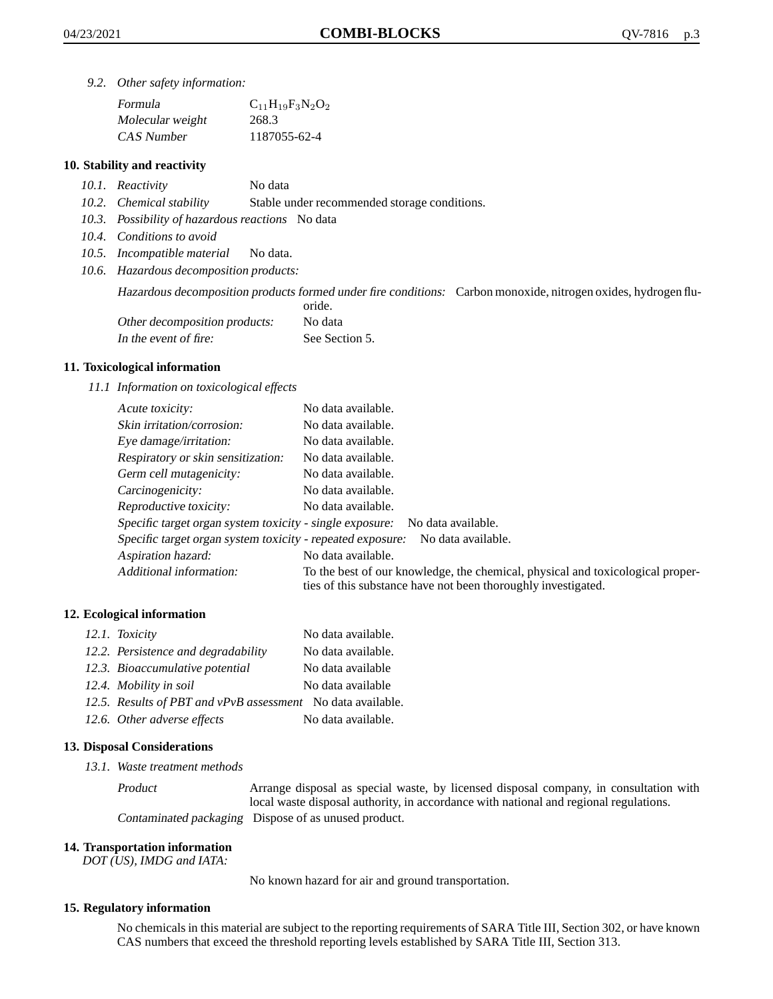*9.2. Other safety information:*

| Formula          | $C_{11}H_{19}F_3N_2O_2$ |
|------------------|-------------------------|
| Molecular weight | 268.3                   |
| CAS Number       | 1187055-62-4            |

### **10. Stability and reactivity**

- *10.1. Reactivity* No data
- *10.2. Chemical stability* Stable under recommended storage conditions.
- *10.3. Possibility of hazardous reactions* No data
- *10.4. Conditions to avoid*
- *10.5. Incompatible material* No data.
- *10.6. Hazardous decomposition products:*

Hazardous decomposition products formed under fire conditions: Carbon monoxide, nitrogen oxides, hydrogen flu-

|                               | oride.         |
|-------------------------------|----------------|
| Other decomposition products: | No data        |
| In the event of fire:         | See Section 5. |

#### **11. Toxicological information**

*11.1 Information on toxicological effects*

| Acute toxicity:                                                                  | No data available.                                                                                                                              |  |
|----------------------------------------------------------------------------------|-------------------------------------------------------------------------------------------------------------------------------------------------|--|
| Skin irritation/corrosion:                                                       | No data available.                                                                                                                              |  |
| Eye damage/irritation:                                                           | No data available.                                                                                                                              |  |
| Respiratory or skin sensitization:                                               | No data available.                                                                                                                              |  |
| Germ cell mutagenicity:                                                          | No data available.                                                                                                                              |  |
| Carcinogenicity:                                                                 | No data available.                                                                                                                              |  |
| Reproductive toxicity:                                                           | No data available.                                                                                                                              |  |
| Specific target organ system toxicity - single exposure:<br>No data available.   |                                                                                                                                                 |  |
| Specific target organ system toxicity - repeated exposure:<br>No data available. |                                                                                                                                                 |  |
| Aspiration hazard:                                                               | No data available.                                                                                                                              |  |
| Additional information:                                                          | To the best of our knowledge, the chemical, physical and toxicological proper-<br>ties of this substance have not been thoroughly investigated. |  |

#### **12. Ecological information**

| 12.1. Toxicity                                              | No data available. |
|-------------------------------------------------------------|--------------------|
| 12.2. Persistence and degradability                         | No data available. |
| 12.3. Bioaccumulative potential                             | No data available  |
| 12.4. Mobility in soil                                      | No data available  |
| 12.5. Results of PBT and vPvB assessment No data available. |                    |
| 12.6. Other adverse effects                                 | No data available. |

#### **13. Disposal Considerations**

*13.1. Waste treatment methods*

Product Arrange disposal as special waste, by licensed disposal company, in consultation with local waste disposal authority, in accordance with national and regional regulations. Contaminated packaging Dispose of as unused product.

#### **14. Transportation information**

*DOT (US), IMDG and IATA:*

No known hazard for air and ground transportation.

#### **15. Regulatory information**

No chemicals in this material are subject to the reporting requirements of SARA Title III, Section 302, or have known CAS numbers that exceed the threshold reporting levels established by SARA Title III, Section 313.